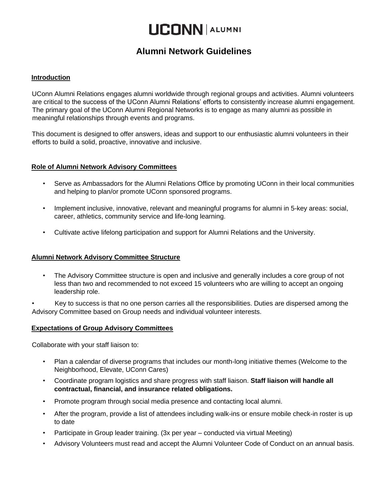# **LICONN ALUMNI**

# **Alumni Network Guidelines**

# **Introduction**

UConn Alumni Relations engages alumni worldwide through regional groups and activities. Alumni volunteers are critical to the success of the UConn Alumni Relations' efforts to consistently increase alumni engagement. The primary goal of the UConn Alumni Regional Networks is to engage as many alumni as possible in meaningful relationships through events and programs.

This document is designed to offer answers, ideas and support to our enthusiastic alumni volunteers in their efforts to build a solid, proactive, innovative and inclusive.

# **Role of Alumni Network Advisory Committees**

- Serve as Ambassadors for the Alumni Relations Office by promoting UConn in their local communities and helping to plan/or promote UConn sponsored programs.
- Implement inclusive, innovative, relevant and meaningful programs for alumni in 5-key areas: social, career, athletics, community service and life-long learning.
- Cultivate active lifelong participation and support for Alumni Relations and the University.

# **Alumni Network Advisory Committee Structure**

• The Advisory Committee structure is open and inclusive and generally includes a core group of not less than two and recommended to not exceed 15 volunteers who are willing to accept an ongoing leadership role.

• Key to success is that no one person carries all the responsibilities. Duties are dispersed among the Advisory Committee based on Group needs and individual volunteer interests.

# **Expectations of Group Advisory Committees**

Collaborate with your staff liaison to:

- Plan a calendar of diverse programs that includes our month-long initiative themes (Welcome to the Neighborhood, Elevate, UConn Cares)
- Coordinate program logistics and share progress with staff liaison. **Staff liaison will handle all contractual, financial, and insurance related obligations.**
- Promote program through social media presence and contacting local alumni.
- After the program, provide a list of attendees including walk-ins or ensure mobile check-in roster is up to date
- Participate in Group leader training. (3x per year conducted via virtual Meeting)
- Advisory Volunteers must read and accept the Alumni Volunteer Code of Conduct on an annual basis.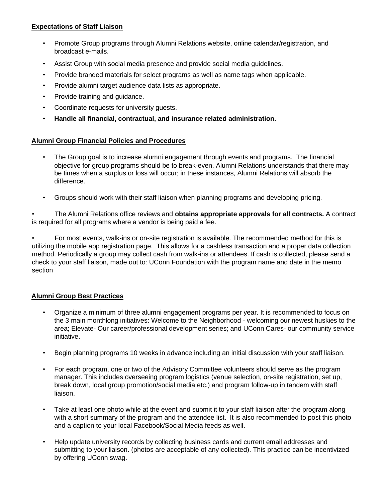# **Expectations of Staff Liaison**

- Promote Group programs through Alumni Relations website, online calendar/registration, and broadcast e-mails.
- Assist Group with social media presence and provide social media guidelines.
- Provide branded materials for select programs as well as name tags when applicable.
- Provide alumni target audience data lists as appropriate.
- Provide training and guidance.
- Coordinate requests for university guests.
- **Handle all financial, contractual, and insurance related administration.**

# **Alumni Group Financial Policies and Procedures**

- The Group goal is to increase alumni engagement through events and programs. The financial objective for group programs should be to break-even. Alumni Relations understands that there may be times when a surplus or loss will occur; in these instances, Alumni Relations will absorb the difference.
- Groups should work with their staff liaison when planning programs and developing pricing.

• The Alumni Relations office reviews and **obtains appropriate approvals for all contracts.** A contract is required for all programs where a vendor is being paid a fee.

• For most events, walk-ins or on-site registration is available. The recommended method for this is utilizing the mobile app registration page. This allows for a cashless transaction and a proper data collection method. Periodically a group may collect cash from walk-ins or attendees. If cash is collected, please send a check to your staff liaison, made out to: UConn Foundation with the program name and date in the memo section

# **Alumni Group Best Practices**

- Organize a minimum of three alumni engagement programs per year. It is recommended to focus on the 3 main monthlong initiatives: Welcome to the Neighborhood - welcoming our newest huskies to the area; Elevate- Our career/professional development series; and UConn Cares- our community service initiative.
- Begin planning programs 10 weeks in advance including an initial discussion with your staff liaison.
- For each program, one or two of the Advisory Committee volunteers should serve as the program manager. This includes overseeing program logistics (venue selection, on-site registration, set up, break down, local group promotion/social media etc.) and program follow-up in tandem with staff liaison.
- Take at least one photo while at the event and submit it to your staff liaison after the program along with a short summary of the program and the attendee list. It is also recommended to post this photo and a caption to your local Facebook/Social Media feeds as well.
- Help update university records by collecting business cards and current email addresses and submitting to your liaison. (photos are acceptable of any collected). This practice can be incentivized by offering UConn swag.